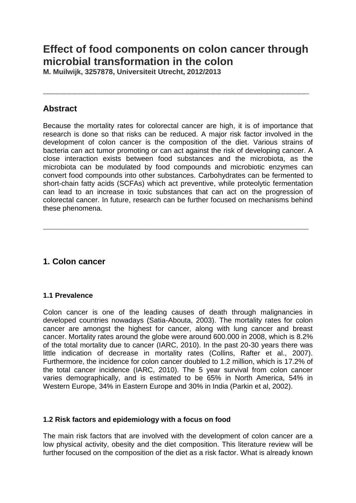# **Effect of food components on colon cancer through microbial transformation in the colon**

**\_\_\_\_\_\_\_\_\_\_\_\_\_\_\_\_\_\_\_\_\_\_\_\_\_\_\_\_\_\_\_\_\_\_\_\_\_\_\_\_\_\_\_\_\_\_\_\_\_\_**

**M. Muilwijk, 3257878, Universiteit Utrecht, 2012/2013**

### **Abstract**

Because the mortality rates for colorectal cancer are high, it is of importance that research is done so that risks can be reduced. A major risk factor involved in the development of colon cancer is the composition of the diet. Various strains of bacteria can act tumor promoting or can act against the risk of developing cancer. A close interaction exists between food substances and the microbiota, as the microbiota can be modulated by food compounds and microbiotic enzymes can convert food compounds into other substances. Carbohydrates can be fermented to short-chain fatty acids (SCFAs) which act preventive, while proteolytic fermentation can lead to an increase in toxic substances that can act on the progression of colorectal cancer. In future, research can be further focused on mechanisms behind these phenomena.

**\_\_\_\_\_\_\_\_\_\_\_\_\_\_\_\_\_\_\_\_\_\_\_\_\_\_\_\_\_\_\_\_\_\_\_\_\_\_\_\_\_\_\_\_\_\_\_\_\_\_\_\_\_\_\_\_\_**

# **1. Colon cancer**

### **1.1 Prevalence**

Colon cancer is one of the leading causes of death through malignancies in developed countries nowadays (Satia-Abouta, 2003). The mortality rates for colon cancer are amongst the highest for cancer, along with lung cancer and breast cancer. Mortality rates around the globe were around 600.000 in 2008, which is 8.2% of the total mortality due to cancer (IARC, 2010). In the past 20-30 years there was little indication of decrease in mortality rates (Collins, Rafter et al., 2007). Furthermore, the incidence for colon cancer doubled to 1.2 million, which is 17.2% of the total cancer incidence (IARC, 2010). The 5 year survival from colon cancer varies demographically, and is estimated to be 65% in North America, 54% in Western Europe, 34% in Eastern Europe and 30% in India (Parkin et al, 2002).

### **1.2 Risk factors and epidemiology with a focus on food**

The main risk factors that are involved with the development of colon cancer are a low physical activity, obesity and the diet composition. This literature review will be further focused on the composition of the diet as a risk factor. What is already known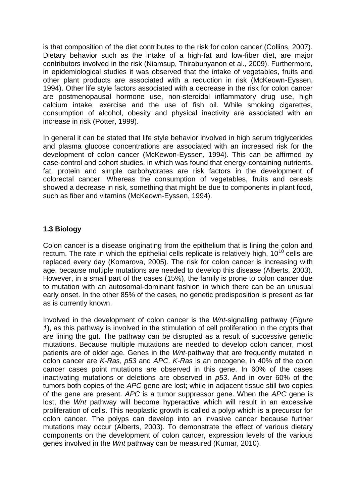is that composition of the diet contributes to the risk for colon cancer (Collins, 2007). Dietary behavior such as the intake of a high-fat and low-fiber diet, are major contributors involved in the risk (Niamsup, Thirabunyanon et al., 2009). Furthermore, in epidemiological studies it was observed that the intake of vegetables, fruits and other plant products are associated with a reduction in risk (McKeown-Eyssen, 1994). Other life style factors associated with a decrease in the risk for colon cancer are postmenopausal hormone use, non-steroidal inflammatory drug use, high calcium intake, exercise and the use of fish oil. While smoking cigarettes, consumption of alcohol, obesity and physical inactivity are associated with an increase in risk (Potter, 1999).

In general it can be stated that life style behavior involved in high serum triglycerides and plasma glucose concentrations are associated with an increased risk for the development of colon cancer (McKewon-Eyssen, 1994). This can be affirmed by case-control and cohort studies, in which was found that energy-containing nutrients, fat, protein and simple carbohydrates are risk factors in the development of colorectal cancer. Whereas the consumption of vegetables, fruits and cereals showed a decrease in risk, something that might be due to components in plant food, such as fiber and vitamins (McKeown-Eyssen, 1994).

### **1.3 Biology**

Colon cancer is a disease originating from the epithelium that is lining the colon and rectum. The rate in which the epithelial cells replicate is relatively high,  $10^{10}$  cells are replaced every day (Komarova, 2005). The risk for colon cancer is increasing with age, because multiple mutations are needed to develop this disease (Alberts, 2003). However, in a small part of the cases (15%), the family is prone to colon cancer due to mutation with an autosomal-dominant fashion in which there can be an unusual early onset. In the other 85% of the cases, no genetic predisposition is present as far as is currently known.

Involved in the development of colon cancer is the *Wnt*-signalling pathway (*Figure 1*), as this pathway is involved in the stimulation of cell proliferation in the crypts that are lining the gut. The pathway can be disrupted as a result of successive genetic mutations. Because multiple mutations are needed to develop colon cancer, most patients are of older age. Genes in the *Wnt-*pathway that are frequently mutated in colon cancer are *K*-*Ras*, *p53* and *APC*. *K*-*Ras* is an oncogene, in 40% of the colon cancer cases point mutations are observed in this gene. In 60% of the cases inactivating mutations or deletions are observed in *p53*. And in over 60% of the tumors both copies of the *APC* gene are lost; while in adjacent tissue still two copies of the gene are present. *APC* is a tumor suppressor gene. When the *APC* gene is lost, the *Wnt* pathway will become hyperactive which will result in an excessive proliferation of cells. This neoplastic growth is called a polyp which is a precursor for colon cancer. The polyps can develop into an invasive cancer because further mutations may occur (Alberts, 2003). To demonstrate the effect of various dietary components on the development of colon cancer, expression levels of the various genes involved in the *Wnt* pathway can be measured (Kumar, 2010).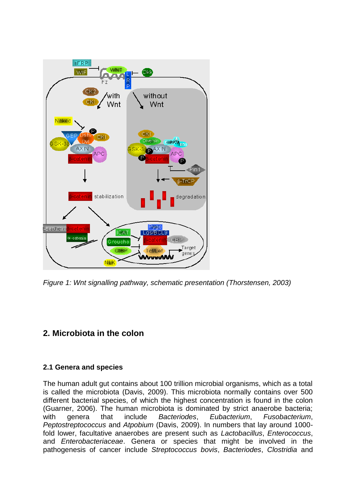

*Figure 1: Wnt signalling pathway, schematic presentation (Thorstensen, 2003)*

# **2. Microbiota in the colon**

### **2.1 Genera and species**

The human adult gut contains about 100 trillion microbial organisms, which as a total is called the microbiota (Davis, 2009). This microbiota normally contains over 500 different bacterial species, of which the highest concentration is found in the colon (Guarner, 2006). The human microbiota is dominated by strict anaerobe bacteria; with genera that include *Bacteriodes*, *Eubacterium*, *Fusobacterium*, *Peptostreptococcus* and *Atpobium* (Davis, 2009). In numbers that lay around 1000 fold lower, facultative anaerobes are present such as *Lactobacillus*, *Enterococcus*, and *Enterobacteriaceae*. Genera or species that might be involved in the pathogenesis of cancer include *Streptococcus bovis*, *Bacteriodes*, *Clostridia* and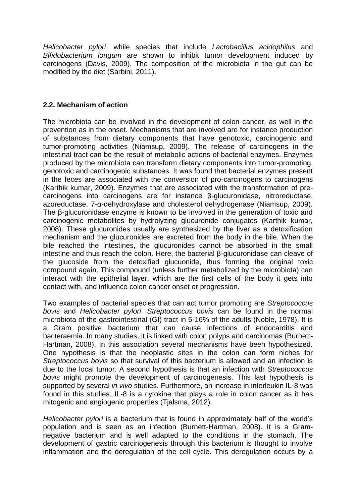*Helicobacter pylori*, while species that include *Lactobacillus acidophilus* and *Bifidobacterium longum* are shown to inhibit tumor development induced by carcinogens (Davis, 2009). The composition of the microbiota in the gut can be modified by the diet (Sarbini, 2011).

#### **2.2. Mechanism of action**

The microbiota can be involved in the development of colon cancer, as well in the prevention as in the onset. Mechanisms that are involved are for instance production of substances from dietary components that have genotoxic, carcinogenic and tumor-promoting activities (Niamsup, 2009). The release of carcinogens in the intestinal tract can be the result of metabolic actions of bacterial enzymes. Enzymes produced by the microbiota can transform dietary components into tumor-promoting, genotoxic and carcinogenic substances. It was found that bacterial enzymes present in the feces are associated with the conversion of pro-carcinogens to carcinogens (Karthik kumar, 2009). Enzymes that are associated with the transformation of precarcinogens into carcinogens are for instance β-glucuronidase, nitroreductase, azoreductase, 7-α-dehydroxylase and cholesterol dehydrogenase (Niamsup, 2009). The β-glucuronidase enzyme is known to be involved in the generation of toxic and carcinogenic metabolites by hydrolyzing glucuronide conjugates (Karthik kumar, 2008). These glucuronides usually are synthesized by the liver as a detoxification mechanism and the glucuronides are excreted from the body in the bile. When the bile reached the intestines, the glucuronides cannot be absorbed in the small intestine and thus reach the colon. Here, the bacterial β-glucuronidase can cleave of the glucoside from the detoxified glucuonide, thus forming the original toxic compound again. This compound (unless further metabolized by the microbiota) can interact with the epithelial layer, which are the first cells of the body it gets into contact with, and influence colon cancer onset or progression.

Two examples of bacterial species that can act tumor promoting are *Streptococcus bovis* and *Helicobacter pylori*. *Streptococcus bovis* can be found in the normal microbiota of the gastrointestinal (GI) tract in 5-16% of the adults (Noble, 1978). It is a Gram positive bacterium that can cause infections of endocarditis and bacteraemia. In many studies, it is linked with colon polyps and carcinomas (Burnett-Hartman, 2008). In this association several mechanisms have been hypothesized. One hypothesis is that the neoplastic sites in the colon can form niches for *Streptococcus bovis* so that survival of this bacterium is allowed and an infection is due to the local tumor. A second hypothesis is that an infection with *Streptococcus bovis* might promote the development of carcinogenesis. This last hypothesis is supported by several *in vivo* studies. Furthermore, an increase in interleukin IL-8 was found in this studies. IL-8 is a cytokine that plays a role in colon cancer as it has mitogenic and angiogenic properties (Tialsma, 2012).

*Helicobacter pylori* is a bacterium that is found in approximately half of the world's population and is seen as an infection (Burnett-Hartman, 2008). It is a Gramnegative bacterium and is well adapted to the conditions in the stomach. The development of gastric carcinogenesis through this bacterium is thought to involve inflammation and the deregulation of the cell cycle. This deregulation occurs by a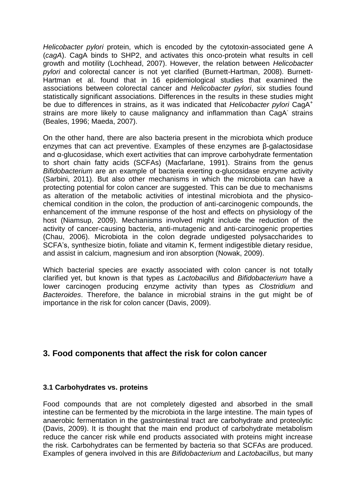*Helicobacter pylori* protein, which is encoded by the cytotoxin-associated gene A (*cagA*). CagA binds to SHP2, and activates this onco-protein what results in cell growth and motility (Lochhead, 2007). However, the relation between *Helicobacter pylori* and colorectal cancer is not yet clarified (Burnett-Hartman, 2008). Burnett-Hartman et al. found that in 16 epidemiological studies that examined the associations between colorectal cancer and *Helicobacter pylori*, six studies found statistically significant associations. Differences in the results in these studies might be due to differences in strains, as it was indicated that *Helicobacter pylori* CagA<sup>+</sup> strains are more likely to cause malignancy and inflammation than CagA strains (Beales, 1996; Maeda, 2007).

On the other hand, there are also bacteria present in the microbiota which produce enzymes that can act preventive. Examples of these enzymes are β-galactosidase and α-glucosidase, which exert activities that can improve carbohydrate fermentation to short chain fatty acids (SCFAs) (Macfarlane, 1991). Strains from the genus *Bifidobacterium* are an example of bacteria exerting α-glucosidase enzyme activity (Sarbini, 2011). But also other mechanisms in which the microbiota can have a protecting potential for colon cancer are suggested. This can be due to mechanisms as alteration of the metabolic activities of intestinal microbiota and the physicochemical condition in the colon, the production of anti-carcinogenic compounds, the enhancement of the immune response of the host and effects on physiology of the host (Niamsup, 2009). Mechanisms involved might include the reduction of the activity of cancer-causing bacteria, anti-mutagenic and anti-carcinogenic properties (Chau, 2006). Microbiota in the colon degrade undigested polysaccharides to SCFA's, synthesize biotin, foliate and vitamin K, ferment indigestible dietary residue, and assist in calcium, magnesium and iron absorption (Nowak, 2009).

Which bacterial species are exactly associated with colon cancer is not totally clarified yet, but known is that types as *Lactobacillus* and *Bifidobacterium* have a lower carcinogen producing enzyme activity than types as *Clostridium* and *Bacteroides*. Therefore, the balance in microbial strains in the gut might be of importance in the risk for colon cancer (Davis, 2009).

### **3. Food components that affect the risk for colon cancer**

#### **3.1 Carbohydrates vs. proteins**

Food compounds that are not completely digested and absorbed in the small intestine can be fermented by the microbiota in the large intestine. The main types of anaerobic fermentation in the gastrointestinal tract are carbohydrate and proteolytic (Davis, 2009). It is thought that the main end product of carbohydrate metabolism reduce the cancer risk while end products associated with proteins might increase the risk. Carbohydrates can be fermented by bacteria so that SCFAs are produced. Examples of genera involved in this are *Bifidobacterium* and *Lactobacillus*, but many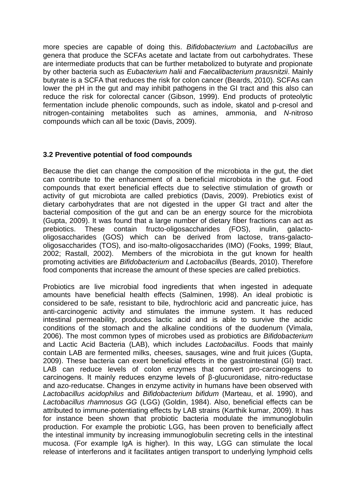more species are capable of doing this. *Bifidobacterium* and *Lactobacillus* are genera that produce the SCFAs acetate and lactate from out carbohydrates. These are intermediate products that can be further metabolized to butyrate and propionate by other bacteria such as *Eubacterium halii* and *Faecalibacterium prausnitzii*. Mainly butyrate is a SCFA that reduces the risk for colon cancer (Beards, 2010). SCFAs can lower the pH in the gut and may inhibit pathogens in the GI tract and this also can reduce the risk for colorectal cancer (Gibson, 1999). End products of proteolytic fermentation include phenolic compounds, such as indole, skatol and p-cresol and nitrogen-containing metabolites such as amines, ammonia, and *N*-nitroso compounds which can all be toxic (Davis, 2009).

### **3.2 Preventive potential of food compounds**

Because the diet can change the composition of the microbiota in the gut, the diet can contribute to the enhancement of a beneficial microbiota in the gut. Food compounds that exert beneficial effects due to selective stimulation of growth or activity of gut microbiota are called prebiotics (Davis, 2009). Prebiotics exist of dietary carbohydrates that are not digested in the upper GI tract and alter the bacterial composition of the gut and can be an energy source for the microbiota (Gupta, 2009). It was found that a large number of dietary fiber fractions can act as prebiotics. These contain fructo-oligosaccharides (FOS), inulin, galactooligosaccharides (GOS) which can be derived from lactose, trans-galactooligosaccharides (TOS), and iso-malto-oligosaccharides (IMO) (Fooks, 1999; Blaut, 2002; Rastall, 2002). Members of the microbiota in the gut known for health promoting activities are *Bifidobacterium* and *Lactobacillus* (Beards, 2010). Therefore food components that increase the amount of these species are called prebiotics.

Probiotics are live microbial food ingredients that when ingested in adequate amounts have beneficial health effects (Salminen, 1998). An ideal probiotic is considered to be safe, resistant to bile, hydrochloric acid and pancreatic juice, has anti-carcinogenic activity and stimulates the immune system. It has reduced intestinal permeability, produces lactic acid and is able to survive the acidic conditions of the stomach and the alkaline conditions of the duodenum (Vimala, 2006). The most common types of microbes used as probiotics are *Bifidobacterium* and Lactic Acid Bacteria (LAB), which includes *Lactobacillus*. Foods that mainly contain LAB are fermented milks, cheeses, sausages, wine and fruit juices (Gupta, 2009). These bacteria can exert beneficial effects in the gastrointestinal (GI) tract. LAB can reduce levels of colon enzymes that convert pro-carcinogens to carcinogens. It mainly reduces enzyme levels of β-glucuronidase, nitro-reductase and azo-reducatse. Changes in enzyme activity in humans have been observed with *Lactobacillus acidophilus* and *Bifidobacterium bifidum* (Marteau, et al. 1990), and *Lactobacillus rhamnosus GG* (LGG) (Goldin, 1984). Also, beneficial effects can be attributed to immune-potentiating effects by LAB strains (Karthik kumar, 2009). It has for instance been shown that probiotic bacteria modulate the immunoglobulin production. For example the probiotic LGG, has been proven to beneficially affect the intestinal immunity by increasing immunoglobulin secreting cells in the intestinal mucosa. (For example IgA is higher). In this way, LGG can stimulate the local release of interferons and it facilitates antigen transport to underlying lymphoid cells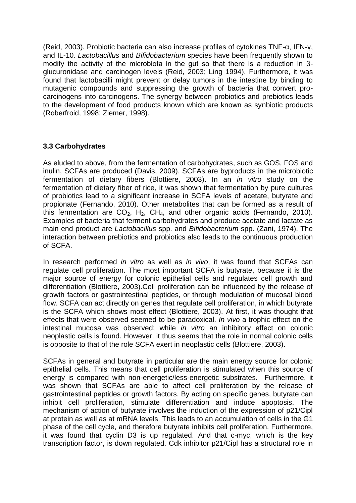(Reid, 2003). Probiotic bacteria can also increase profiles of cytokines TNF-α, IFN-γ, and IL-10. *Lactobacillus* and *Bifidobacterium* species have been frequently shown to modify the activity of the microbiota in the gut so that there is a reduction in βglucuronidase and carcinogen levels (Reid, 2003; Ling 1994). Furthermore, it was found that lactobacilli might prevent or delay tumors in the intestine by binding to mutagenic compounds and suppressing the growth of bacteria that convert procarcinogens into carcinogens. The synergy between probiotics and prebiotics leads to the development of food products known which are known as synbiotic products (Roberfroid, 1998; Ziemer, 1998).

### **3.3 Carbohydrates**

As eluded to above, from the fermentation of carbohydrates, such as GOS, FOS and inulin, SCFAs are produced (Davis, 2009). SCFAs are byproducts in the microbiotic fermentation of dietary fibers (Blottiere, 2003). In an *in vitro* study on the fermentation of dietary fiber of rice, it was shown that fermentation by pure cultures of probiotics lead to a significant increase in SCFA levels of acetate, butyrate and propionate (Fernando, 2010). Other metabolites that can be formed as a result of this fermentation are  $CO<sub>2</sub>$ , H<sub>2</sub>, CH<sub>4</sub>, and other organic acids (Fernando, 2010). Examples of bacteria that ferment carbohydrates and produce acetate and lactate as main end product are *Lactobacillus* spp. and *Bifidobacterium* spp. (Zani, 1974). The interaction between prebiotics and probiotics also leads to the continuous production of SCFA.

In research performed *in vitro* as well as *in vivo*, it was found that SCFAs can regulate cell proliferation. The most important SCFA is butyrate, because it is the major source of energy for colonic epithelial cells and regulates cell growth and differentiation (Blottiere, 2003).Cell proliferation can be influenced by the release of growth factors or gastrointestinal peptides, or through modulation of mucosal blood flow. SCFA can act directly on genes that regulate cell proliferation, in which butyrate is the SCFA which shows most effect (Blottiere, 2003). At first, it was thought that effects that were observed seemed to be paradoxical. *In vivo* a trophic effect on the intestinal mucosa was observed; while *in vitro* an inhibitory effect on colonic neoplastic cells is found. However, it thus seems that the role in normal colonic cells is opposite to that of the role SCFA exert in neoplastic cells (Blottiere, 2003).

SCFAs in general and butyrate in particular are the main energy source for colonic epithelial cells. This means that cell proliferation is stimulated when this source of energy is compared with non-energetic/less-energetic substrates. Furthermore, it was shown that SCFAs are able to affect cell proliferation by the release of gastrointestinal peptides or growth factors. By acting on specific genes, butyrate can inhibit cell proliferation, stimulate differentiation and induce apoptosis. The mechanism of action of butyrate involves the induction of the expression of p21/Cipl at protein as well as at mRNA levels. This leads to an accumulation of cells in the G1 phase of the cell cycle, and therefore butyrate inhibits cell proliferation. Furthermore, it was found that cyclin D3 is up regulated. And that c-myc, which is the key transcription factor, is down regulated. Cdk inhibitor p21/Cipl has a structural role in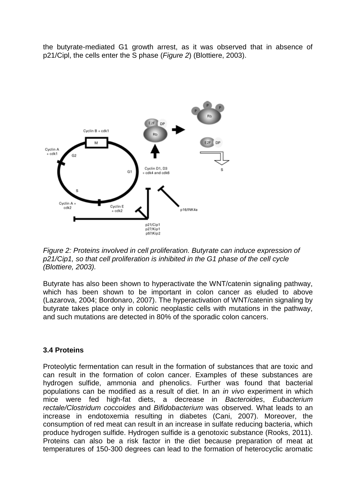the butyrate-mediated G1 growth arrest, as it was observed that in absence of p21/Cipl, the cells enter the S phase (*Figure 2*) (Blottiere, 2003).



*Figure 2: Proteins involved in cell proliferation. Butyrate can induce expression of p21/Cip1, so that cell proliferation is inhibited in the G1 phase of the cell cycle (Blottiere, 2003).* 

Butyrate has also been shown to hyperactivate the WNT/catenin signaling pathway, which has been shown to be important in colon cancer as eluded to above (Lazarova, 2004; Bordonaro, 2007). The hyperactivation of WNT/catenin signaling by butyrate takes place only in colonic neoplastic cells with mutations in the pathway, and such mutations are detected in 80% of the sporadic colon cancers.

#### **3.4 Proteins**

Proteolytic fermentation can result in the formation of substances that are toxic and can result in the formation of colon cancer. Examples of these substances are hydrogen sulfide, ammonia and phenolics. Further was found that bacterial populations can be modified as a result of diet. In an *in vivo* experiment in which mice were fed high-fat diets, a decrease in *Bacteroides*, *Eubacterium rectale/Clostridum coccoides* and *Bifidobacterium* was observed. What leads to an increase in endotoxemia resulting in diabetes (Cani, 2007). Moreover, the consumption of red meat can result in an increase in sulfate reducing bacteria, which produce hydrogen sulfide. Hydrogen sulfide is a genotoxic substance (Rooks, 2011). Proteins can also be a risk factor in the diet because preparation of meat at temperatures of 150-300 degrees can lead to the formation of heterocyclic aromatic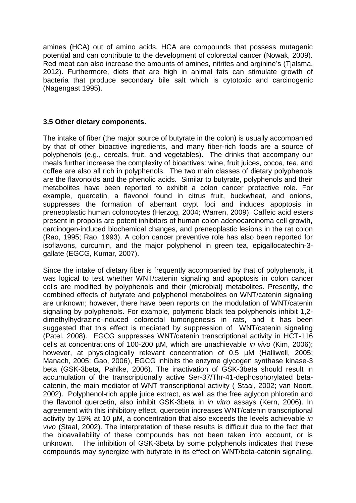amines (HCA) out of amino acids. HCA are compounds that possess mutagenic potential and can contribute to the development of colorectal cancer (Nowak, 2009). Red meat can also increase the amounts of amines, nitrites and arginine's (Tjalsma, 2012). Furthermore, diets that are high in animal fats can stimulate growth of bacteria that produce secondary bile salt which is cytotoxic and carcinogenic (Nagengast 1995).

### **3.5 Other dietary components.**

The intake of fiber (the major source of butyrate in the colon) is usually accompanied by that of other bioactive ingredients, and many fiber-rich foods are a source of polyphenols (e.g., cereals, fruit, and vegetables). The drinks that accompany our meals further increase the complexity of bioactives: wine, fruit juices, cocoa, tea, and coffee are also all rich in polyphenols. The two main classes of dietary polyphenols are the flavonoids and the phenolic acids. Similar to butyrate, polyphenols and their metabolites have been reported to exhibit a colon cancer protective role. For example, quercetin, a flavonol found in citrus fruit, buckwheat, and onions, suppresses the formation of aberrant crypt foci and induces apoptosis in preneoplastic human colonocytes (Herzog, 2004; Warren, 2009). Caffeic acid esters present in propolis are potent inhibitors of human colon adenocarcinoma cell growth, carcinogen-induced biochemical changes, and preneoplastic lesions in the rat colon (Rao, 1995; Rao, 1993). A colon cancer preventive role has also been reported for isoflavons, curcumin, and the major polyphenol in green tea, epigallocatechin-3 gallate (EGCG, Kumar, 2007).

Since the intake of dietary fiber is frequently accompanied by that of polyphenols, it was logical to test whether WNT/catenin signaling and apoptosis in colon cancer cells are modified by polyphenols and their (microbial) metabolites. Presently, the combined effects of butyrate and polyphenol metabolites on WNT/catenin signaling are unknown; however, there have been reports on the modulation of WNT/catenin signaling by polyphenols. For example, polymeric black tea polyphenols inhibit 1,2 dimethylhydrazine-induced colorectal tumorigenesis in rats, and it has been suggested that this effect is mediated by suppression of WNT/catenin signaling (Patel, 2008). EGCG suppresses WNT/catenin transcriptional activity in HCT-116 cells at concentrations of 100-200 µM, which are unachievable *in vivo* (Kim, 2006); however, at physiologically relevant concentration of 0.5 µM (Halliwell, 2005; Manach, 2005; Gao, 2006), EGCG inhibits the enzyme glycogen synthase kinase-3 beta (GSK-3beta, Pahlke, 2006). The inactivation of GSK-3beta should result in accumulation of the transcriptionally active Ser-37/Thr-41-dephosphorylated betacatenin, the main mediator of WNT transcriptional activity ( Staal, 2002; van Noort, 2002). Polyphenol-rich apple juice extract, as well as the free aglycon phloretin and the flavonol quercetin, also inhibit GSK-3beta in *in vitro* assays (Kern, 2006). In agreement with this inhibitory effect, quercetin increases WNT/catenin transcriptional activity by 15% at 10 µM, a concentration that also exceeds the levels achievable *in vivo* (Staal, 2002). The interpretation of these results is difficult due to the fact that the bioavailability of these compounds has not been taken into account, or is unknown. The inhibition of GSK-3beta by some polyphenols indicates that these compounds may synergize with butyrate in its effect on WNT/beta-catenin signaling.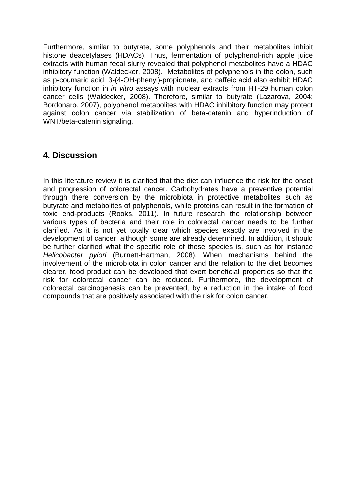Furthermore, similar to butyrate, some polyphenols and their metabolites inhibit histone deacetylases (HDACs). Thus, fermentation of polyphenol-rich apple juice extracts with human fecal slurry revealed that polyphenol metabolites have a HDAC inhibitory function (Waldecker, 2008). Metabolites of polyphenols in the colon, such as p-coumaric acid, 3-(4-OH-phenyl)-propionate, and caffeic acid also exhibit HDAC inhibitory function in *in vitro* assays with nuclear extracts from HT-29 human colon cancer cells (Waldecker, 2008). Therefore, similar to butyrate (Lazarova, 2004; Bordonaro, 2007), polyphenol metabolites with HDAC inhibitory function may protect against colon cancer via stabilization of beta-catenin and hyperinduction of WNT/beta-catenin signaling.

### **4. Discussion**

In this literature review it is clarified that the diet can influence the risk for the onset and progression of colorectal cancer. Carbohydrates have a preventive potential through there conversion by the microbiota in protective metabolites such as butyrate and metabolites of polyphenols, while proteins can result in the formation of toxic end-products (Rooks, 2011). In future research the relationship between various types of bacteria and their role in colorectal cancer needs to be further clarified. As it is not yet totally clear which species exactly are involved in the development of cancer, although some are already determined. In addition, it should be further clarified what the specific role of these species is, such as for instance *Helicobacter pylori* (Burnett-Hartman, 2008). When mechanisms behind the involvement of the microbiota in colon cancer and the relation to the diet becomes clearer, food product can be developed that exert beneficial properties so that the risk for colorectal cancer can be reduced. Furthermore, the development of colorectal carcinogenesis can be prevented, by a reduction in the intake of food compounds that are positively associated with the risk for colon cancer.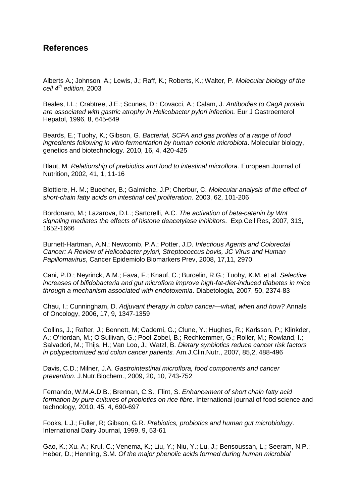### **References**

Alberts A.; Johnson, A.; Lewis, J.; Raff, K.; Roberts, K.; Walter, P. *Molecular biology of the cell 4th edition*, 2003

Beales, I.L.; Crabtree, J.E.; Scunes, D.; Covacci, A.; Calam, J. *Antibodies to CagA protein are associated with gastric atrophy in Helicobacter pylori infection.* Eur J Gastroenterol Hepatol, 1996, 8, 645-649

Beards, E.; Tuohy, K.; Gibson, G. *Bacterial, SCFA and gas profiles of a range of food ingredients following in vitro fermentation by human colonic microbiota*. Molecular biology, genetics and biotechnology. 2010, 16, 4, 420-425

Blaut, M. *Relationship of prebiotics and food to intestinal microflora*. European Journal of Nutrition, 2002, 41, 1, 11-16

Blottiere, H. M.; Buecher, B.; Galmiche, J.P; Cherbur, C. *Molecular analysis of the effect of short-chain fatty acids on intestinal cell proliferation.* 2003, 62, 101-206

Bordonaro, M.; Lazarova, D.L.; Sartorelli, A.C. *The activation of beta-catenin by Wnt signaling mediates the effects of histone deacetylase inhibitors*. Exp.Cell Res, 2007, 313, 1652-1666

Burnett-Hartman, A.N.; Newcomb, P.A.; Potter, J.D. *Infectious Agents and Colorectal Cancer: A Review of Helicobacter pylori, Streptococcus bovis, JC Virus and Human Papillomavirus*, Cancer Epidemiolo Biomarkers Prev, 2008, 17,11, 2970

Cani, P.D.; Neyrinck, A.M.; Fava, F.; Knauf, C.; Burcelin, R.G.; Tuohy, K.M. et al. *Selective increases of bifidobacteria and gut microflora improve high-fat-diet-induced diabetes in mice through a mechanism associated with endotoxemia*. Diabetologia, 2007, 50, 2374-83

Chau, I.; Cunningham, D. *Adjuvant therapy in colon cancer—what, when and how?* Annals of Oncology, 2006, 17, 9, 1347-1359

Collins, J.; Rafter, J.; Bennett, M; Caderni, G.; Clune, Y.; Hughes, R.; Karlsson, P.; Klinkder, A.; O'riordan, M.; O'Sullivan, G.; Pool-Zobel, B.; Rechkemmer, G.; Roller, M.; Rowland, I.; Salvadori, M.; Thijs, H.; Van Loo, J.; Watzl, B. *Dietary synbiotics reduce cancer risk factors in polypectomized and colon cancer patients.* Am.J.Clin.Nutr., 2007, 85,2, 488-496

Davis, C.D.; Milner, J.A. *Gastrointestinal microflora, food components and cancer prevention.* J.Nutr.Biochem., 2009, 20, 10, 743-752

Fernando, W.M.A.D.B.; Brennan, C.S.; Flint, S. *Enhancement of short chain fatty acid formation by pure cultures of probiotics on rice fibre*. International journal of food science and technology, 2010, 45, 4, 690-697

Fooks, L.J.; Fuller, R; Gibson, G.R. *Prebiotics, probiotics and human gut microbiology*. International Dairy Journal, 1999, 9, 53-61

Gao, K.; Xu. A.; Krul, C.; Venema, K.; Liu, Y.; Niu, Y.; Lu, J.; Bensoussan, L.; Seeram, N.P.; Heber, D.; Henning, S.M. *Of the major phenolic acids formed during human microbial*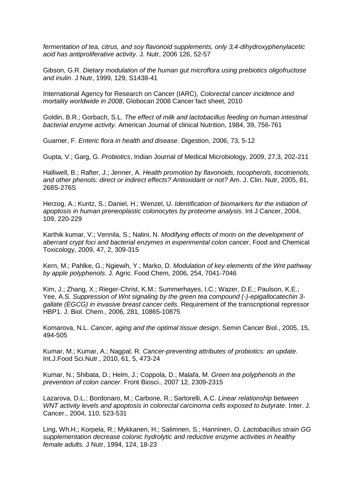*fermentation of tea, citrus, and soy flavonoid supplements, only 3,4-dihydroxyphenylacetic acid has antiproliferative activity*. J. Nutr, 2006 126, 52-57

Gibson, G.R. *Dietary modulation of the human gut microflora using prebiotics oligofructose and inulin*. J Nutr, 1999, 129, S1438-41

International Agency for Research on Cancer (IARC), *Colorectal cancer incidence and mortality worldwide in 2008*, Globocan 2008 Cancer fact sheet, 2010

Goldin, B.R.; Gorbach, S.L. *The effect of milk and lactobacillus feeding on human intestinal bacterial enzyme activity.* American Journal of clinical Nutrition, 1984, 39, 756-761

Guarner, F. *Enteric flora in health and disease*. Digestion, 2006, 73, 5-12

Gupta, V.; Garg, G. *Probiotics*, Indian Journal of Medical Microbiology, 2009, 27,3, 202-211

Halliwell, B.; Rafter, J.; Jenner, A. *Health promotion by flavonoids, tocopherols, tocotrienols, and other phenols: direct or indirect effects? Antioxidant or not?* Am. J. Clin. Nutr, 2005, 81, 268S-276S

Herzog, A.; Kuntz, S.; Daniel, H.; Wenzel, U. *Identification of biomarkers for the initiation of apoptosis in human preneoplastic colonocytes by proteome analysis*. Int J Cancer, 2004, 109, 220-229

Karthik kumar, V.; Vennila, S.; Nalini, N. *Modifying effects of morin on the development of aberrant crypt foci and bacterial enzymes in experimental colon cancer*, Food and Chemical Toxicology, 2009, 47, 2, 309-315

Kern, M.; Pahlke, G.; Ngiewih, Y.; Marko, D. *Modulation of key elements of the Wnt pathway by apple polyphenols*. J. Agric. Food Chem, 2006, 254, 7041-7046

Kim, J.; Zhang, X.; Rieger-Christ, K.M.; Summerhayes, I.C.; Wazer, D.E.; Paulson, K.E.; Yee, A.S. *Suppression of Wnt signaling by the green tea compound (-)-epigallocatechin 3 gallate (EGCG) in invasive breast cancer cells*. Requirement of the transcriptional repressor HBP1. J. Biol. Chem., 2006, 281, 10865-10875

Komarova, N.L. *Cancer, aging and the optimal tissue design*. Semin Cancer Biol., 2005, 15, 494-505

Kumar, M.; Kumar, A.; Nagpal, R. *Cancer-preventing attributes of probiotics: an update.* Int.J.Food Sci.Nutr., 2010, 61, 5, 473-24

Kumar, N.; Shibata, D.; Helm, J.; Coppola, D.; Malafa, M. *Green tea polyphenols in the prevention of colon cancer*. Front Biosci., 2007 12, 2309-2315

Lazarova, D.L.; Bordonaro, M.; Carbone, R.; Sartorelli, A.C. *Linear relationship between WNT activity levels and apoptosis in colorectal carcinoma cells exposed to butyrate*. Inter. J. Cancer., 2004, 110, 523-531

Ling, Wh.H.; Korpela, R.; Mykkanen, H.; Salimnen, S.; Hanninen, O. *Lactobacillus strain GG supplementation decrease colonic hydrolytic and reductive enzyme activities in healthy female adults.* J Nutr, 1994, 124, 18-23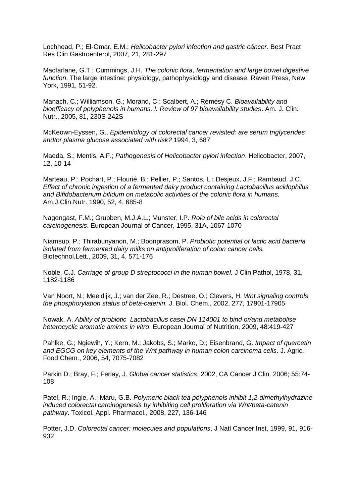Lochhead, P.; El-Omar, E.M.; *Helicobacter pylori infection and gastric cáncer*. Best Pract Res Clin Gastroenterol, 2007, 21, 281-297

Macfarlane, G.T.; Cummings, J.H. *The colonic flora, fermentation and large bowel digestive function*. The large intestine: physiology, pathophysiology and disease. Raven Press, New York, 1991, 51-92.

Manach, C.; Williamson, G.; Morand, C.; Scalbert, A.; Rémésy C. *Bioavailability and bioefficacy of polyphenols in humans. I. Review of 97 bioavailability studies*. Am. J. Clin. Nutr., 2005, 81, 230S-242S

McKeown-Eyssen, G., *Epidemiology of colorectal cancer revisited: are serum triglycerides and/or plasma glucose associated with risk?* 1994, 3, 687

Maeda, S.; Mentis, A.F.; *Pathogenesis of Helicobacter pylori infection*. Helicobacter, 2007, 12, 10-14

Marteau, P.; Pochart, P.; Flourié, B.; Pellier, P.; Santos, L.; Desjeux, J.F.; Rambaud, J.C. *Effect of chronic ingestion of a fermented dairy product containing Lactobacillus acidophilus and Bifidobacterium bifidum on metabolic activities of the colonic flora in humans.*  Am.J.Clin.Nutr. 1990, 52, 4, 685-8

Nagengast, F.M.; Grubben, M.J.A.L.; Munster, I.P. *Role of bile acids in colorectal carcinogenesis*. European Journal of Cancer, 1995, 31A, 1067-1070

Niamsup, P.; Thirabunyanon, M.; Boonprasom, P. *Probiotic potential of lactic acid bacteria isolated from fermented dairy milks on antiproliferation of colon cancer cells.*  Biotechnol.Lett., 2009, 31, 4, 571-176

Noble, C.J. *Carriage of group D streptococci in the human bowel.* J Clin Pathol, 1978, 31, 1182-1186

Van Noort, N.; Meeldijk, J.; van der Zee, R.; Destree, O.; Clevers, H. *Wnt signaling controls the phosphorylation status of beta-catenin*. J. Biol. Chem., 2002, 277, 17901-17905

Nowak, A. *Ability of probiotic Lactobacillus casei DN 114001 to bind or/and metabolise heterocyclic aromatic amines in vitro*. European Journal of Nutrition, 2009, 48:419-427

Pahlke, G.; Ngiewih, Y.; Kern, M.; Jakobs, S.; Marko, D.; Eisenbrand, G. *Impact of quercetin and EGCG on key elements of the Wnt pathway in human colon carcinoma cells*. J. Agric. Food Chem., 2006, 54, 7075-7082

Parkin D.; Bray, F.; Ferlay, J. *Global cancer statistics*, 2002, CA Cancer J Clin. 2006; 55:74- 108

Patel, R.; Ingle, A.; Maru, G.B. *Polymeric black tea polyphenols inhibit 1,2-dimethylhydrazine induced colorectal carcinogenesis by inhibiting cell proliferation via Wnt/beta-catenin pathway*. Toxicol. Appl. Pharmacol., 2008, 227, 136-146

Potter, J.D. *Colorectal cancer: molecules and populations*. J Natl Cancer Inst, 1999, 91, 916- 932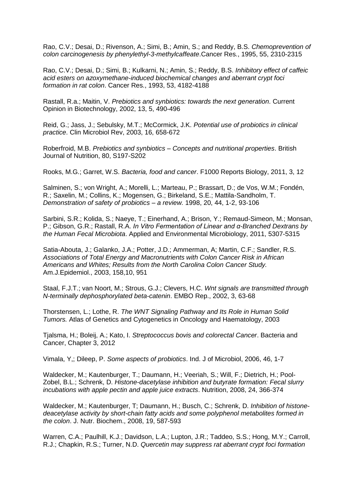Rao, C.V.; Desai, D.; Rivenson, A.; Simi, B.; Amin, S.; and Reddy, B.S. *Chemoprevention of colon carcinogenesis by phenylethyl-3-methylcaffeate*.Cancer Res., 1995, 55, 2310-2315

Rao, C.V.; Desai, D.; Simi, B.; Kulkarni, N.; Amin, S.; Reddy, B.S. *Inhibitory effect of caffeic acid esters on azoxymethane-induced biochemical changes and aberrant crypt foci formation in rat colon*. Cancer Res., 1993, 53, 4182-4188

Rastall, R.a.; Maitin, V. *Prebiotics and synbiotics: towards the next generation*. Current Opinion in Biotechnology, 2002, 13, 5, 490-496

Reid, G.; Jass, J.; Sebulsky, M.T.; McCormick, J.K. *Potential use of probiotics in clinical practice*. Clin Microbiol Rev, 2003, 16, 658-672

Roberfroid, M.B. *Prebiotics and synbiotics – Concepts and nutritional properties*. British Journal of Nutrition, 80, S197-S202

Rooks, M.G.; Garret, W.S. *Bacteria, food and cancer*. F1000 Reports Biology, 2011, 3, 12

Salminen, S.; von Wright, A.; Morelli, L.; Marteau, P.; Brassart, D.; de Vos, W.M.; Fondén, R.; Saxelin, M.; Collins, K.; Mogensen, G.; Birkeland, S.E.; Mattila-Sandholm, T. *Demonstration of safety of probiotics – a review.* 1998, 20, 44, 1-2, 93-106

Sarbini, S.R.; Kolida, S.; Naeye, T.; Einerhand, A.; Brison, Y.; Remaud-Simeon, M.; Monsan, P.; Gibson, G.R.; Rastall, R.A. *In Vitro Fermentation of Linear and α-Branched Dextrans by the Human Fecal Microbiota*. Applied and Environmental Microbiology, 2011, 5307-5315

Satia-Abouta, J.; Galanko, J.A.; Potter, J.D.; Ammerman, A; Martin, C.F.; Sandler, R.S. *Associations of Total Energy and Macronutrients with Colon Cancer Risk in African Americans and Whites; Results from the North Carolina Colon Cancer Study.* Am.J.Epidemiol., 2003, 158,10, 951

Staal, F.J.T.; van Noort, M.; Strous, G.J.; Clevers, H.C. *Wnt signals are transmitted through N-terminally dephosphorylated beta-catenin*. EMBO Rep., 2002, 3, 63-68

Thorstensen, L.; Lothe, R. *The WNT Signaling Pathway and Its Role in Human Solid Tumors.* Atlas of Genetics and Cytogenetics in Oncology and Haematology, 2003

Tjalsma, H.; Boleij, A.; Kato, I. *Streptococcus bovis and colorectal Cancer*. Bacteria and Cancer, Chapter 3, 2012

Vimala, Y,; Dileep, P. *Some aspects of probiotics*. Ind. J of Microbiol, 2006, 46, 1-7

Waldecker, M.; Kautenburger, T.; Daumann, H.; Veeriah, S.; Will, F.; Dietrich, H.; Pool-Zobel, B.L.; Schrenk, D. *Histone-dacetylase inhibition and butyrate formation: Fecal slurry incubations with apple pectin and apple juice extracts*. Nutrition, 2008, 24, 366-374

Waldecker, M.; Kautenburger, T; Daumann, H.; Busch, C.; Schrenk, D. *Inhibition of histonedeacetylase activity by short-chain fatty acids and some polyphenol metabolites formed in the colon*. J. Nutr. Biochem., 2008, 19, 587-593

Warren, C.A.; Paulhill, K.J.; Davidson, L.A.; Lupton, J.R.; Taddeo, S.S.; Hong, M.Y.; Carroll, R.J.; Chapkin, R.S.; Turner, N.D. *Quercetin may suppress rat aberrant crypt foci formation*